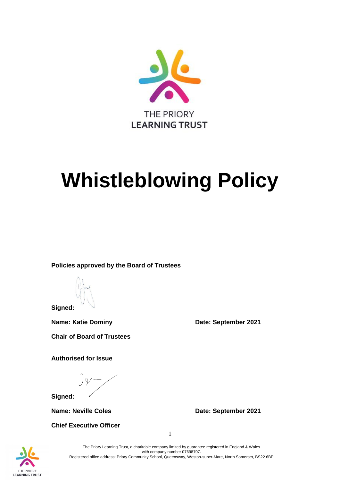

# **Whistleblowing Policy**

**Policies approved by the Board of Trustees**

**Signed:**

**Name: Katie Dominy <b>Date: September 2021** 

**Chair of Board of Trustees** 

**Authorised for Issue**

 $\int \rho$ 

**Signed:**

**Chief Executive Officer**

**Name: Neville Coles Date: September 2021** 



The Priory Learning Trust, a charitable company limited by guarantee registered in England & Wales with company number 07698707. Registered office address: Priory Community School, Queensway, Weston-super-Mare, North Somerset, BS22 6BP

1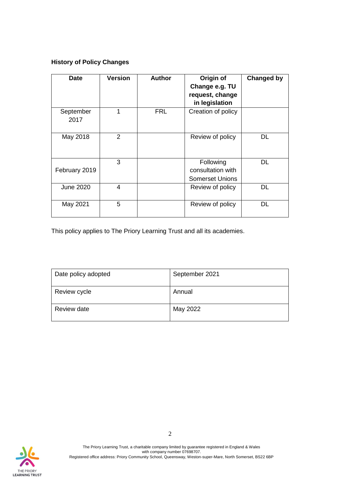# **History of Policy Changes**

| <b>Date</b>       | <b>Version</b> | <b>Author</b> | Origin of<br>Change e.g. TU<br>request, change<br>in legislation | <b>Changed by</b> |
|-------------------|----------------|---------------|------------------------------------------------------------------|-------------------|
| September<br>2017 | 1              | <b>FRL</b>    | Creation of policy                                               |                   |
| May 2018          | $\overline{2}$ |               | Review of policy                                                 | DL                |
| February 2019     | 3              |               | Following<br>consultation with<br><b>Somerset Unions</b>         | DL                |
| <b>June 2020</b>  | 4              |               | Review of policy                                                 | DL                |
| May 2021          | 5              |               | Review of policy                                                 | DL                |

This policy applies to The Priory Learning Trust and all its academies.

| Date policy adopted | September 2021 |
|---------------------|----------------|
| Review cycle        | Annual         |
| Review date         | May 2022       |

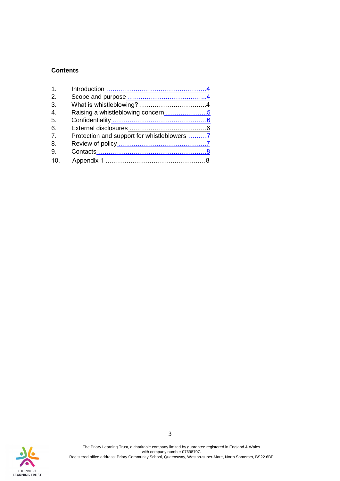## **Contents**

| $\mathbf 1$                 |                                             |  |
|-----------------------------|---------------------------------------------|--|
| $\mathcal{P}_{\mathcal{C}}$ |                                             |  |
| 3.                          |                                             |  |
| $\overline{4}$ .            | Raising a whistleblowing concern5           |  |
| 5.                          |                                             |  |
| 6.                          |                                             |  |
| 7 <sup>1</sup>              | Protection and support for whistleblowers 7 |  |
| 8.                          |                                             |  |
| 9.                          |                                             |  |
| 10                          |                                             |  |

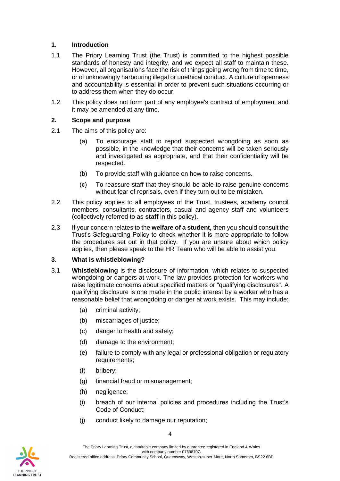#### <span id="page-3-0"></span>**1. Introduction**

- 1.1 The Priory Learning Trust (the Trust) is committed to the highest possible standards of honesty and integrity, and we expect all staff to maintain these. However, all organisations face the risk of things going wrong from time to time, or of unknowingly harbouring illegal or unethical conduct. A culture of openness and accountability is essential in order to prevent such situations occurring or to address them when they do occur.
- 1.2 This policy does not form part of any employee's contract of employment and it may be amended at any time.

#### <span id="page-3-1"></span>**2. Scope and purpose**

- 2.1 The aims of this policy are:
	- (a) To encourage staff to report suspected wrongdoing as soon as possible, in the knowledge that their concerns will be taken seriously and investigated as appropriate, and that their confidentiality will be respected.
	- (b) To provide staff with guidance on how to raise concerns.
	- (c) To reassure staff that they should be able to raise genuine concerns without fear of reprisals, even if they turn out to be mistaken.
- 2.2 This policy applies to all employees of the Trust, trustees, academy council members, consultants, contractors, casual and agency staff and volunteers (collectively referred to as **staff** in this policy).
- 2.3 If your concern relates to the **welfare of a student,** then you should consult the Trust's Safeguarding Policy to check whether it is more appropriate to follow the procedures set out in that policy. If you are unsure about which policy applies, then please speak to the HR Team who will be able to assist you.

#### <span id="page-3-2"></span>**3. What is whistleblowing?**

- 3.1 **Whistleblowing** is the disclosure of information, which relates to suspected wrongdoing or dangers at work. The law provides protection for workers who raise legitimate concerns about specified matters or "qualifying disclosures". A qualifying disclosure is one made in the public interest by a worker who has a reasonable belief that wrongdoing or danger at work exists. This may include:
	- (a) criminal activity;
	- (b) miscarriages of justice;
	- (c) danger to health and safety;
	- (d) damage to the environment;
	- (e) failure to comply with any legal or professional obligation or regulatory requirements;
	- (f) bribery;
	- (g) financial fraud or mismanagement;
	- (h) negligence;
	- (i) breach of our internal policies and procedures including the Trust's Code of Conduct;
	- (j) conduct likely to damage our reputation;

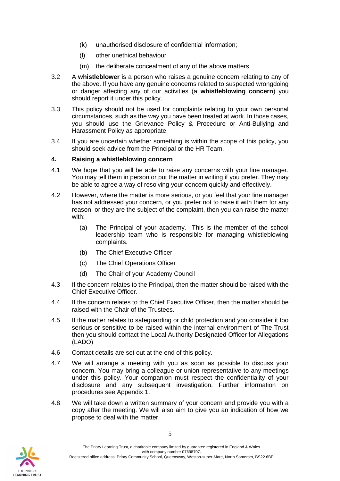- (k) unauthorised disclosure of confidential information;
- (l) other unethical behaviour
- (m) the deliberate concealment of any of the above matters.
- 3.2 A **whistleblower** is a person who raises a genuine concern relating to any of the above. If you have any genuine concerns related to suspected wrongdoing or danger affecting any of our activities (a **whistleblowing concern**) you should report it under this policy.
- 3.3 This policy should not be used for complaints relating to your own personal circumstances, such as the way you have been treated at work. In those cases, you should use the Grievance Policy & Procedure or Anti-Bullying and Harassment Policy as appropriate.
- 3.4 If you are uncertain whether something is within the scope of this policy, you should seek advice from the Principal or the HR Team.

#### <span id="page-4-0"></span>**4. Raising a whistleblowing concern**

- 4.1 We hope that you will be able to raise any concerns with your line manager. You may tell them in person or put the matter in writing if you prefer. They may be able to agree a way of resolving your concern quickly and effectively.
- 4.2 However, where the matter is more serious, or you feel that your line manager has not addressed your concern, or you prefer not to raise it with them for any reason, or they are the subject of the complaint, then you can raise the matter with:
	- (a) The Principal of your academy. This is the member of the school leadership team who is responsible for managing whistleblowing complaints.
	- (b) The Chief Executive Officer
	- (c) The Chief Operations Officer
	- (d) The Chair of your Academy Council
- 4.3 If the concern relates to the Principal, then the matter should be raised with the Chief Executive Officer.
- 4.4 If the concern relates to the Chief Executive Officer, then the matter should be raised with the Chair of the Trustees.
- 4.5 If the matter relates to safeguarding or child protection and you consider it too serious or sensitive to be raised within the internal environment of The Trust then you should contact the Local Authority Designated Officer for Allegations (LADO)
- 4.6 Contact details are set out at the end of this policy.
- 4.7 We will arrange a meeting with you as soon as possible to discuss your concern. You may bring a colleague or union representative to any meetings under this policy. Your companion must respect the confidentiality of your disclosure and any subsequent investigation. Further information on procedures see Appendix 1.
- 4.8 We will take down a written summary of your concern and provide you with a copy after the meeting. We will also aim to give you an indication of how we propose to deal with the matter.

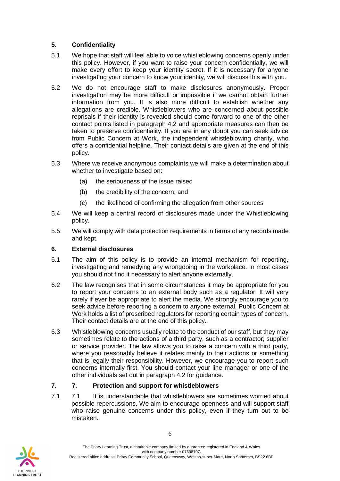## <span id="page-5-0"></span>**5. Confidentiality**

- 5.1 We hope that staff will feel able to voice whistleblowing concerns openly under this policy. However, if you want to raise your concern confidentially, we will make every effort to keep your identity secret. If it is necessary for anyone investigating your concern to know your identity, we will discuss this with you.
- 5.2 We do not encourage staff to make disclosures anonymously. Proper investigation may be more difficult or impossible if we cannot obtain further information from you. It is also more difficult to establish whether any allegations are credible. Whistleblowers who are concerned about possible reprisals if their identity is revealed should come forward to one of the other contact points listed in paragraph 4.2 and appropriate measures can then be taken to preserve confidentiality. If you are in any doubt you can seek advice from Public Concern at Work, the independent whistleblowing charity, who offers a confidential helpline. Their contact details are given at the end of this policy.
- 5.3 Where we receive anonymous complaints we will make a determination about whether to investigate based on:
	- (a) the seriousness of the issue raised
	- (b) the credibility of the concern; and
	- (c) the likelihood of confirming the allegation from other sources
- 5.4 We will keep a central record of disclosures made under the Whistleblowing policy.
- 5.5 We will comply with data protection requirements in terms of any records made and kept.

## <span id="page-5-1"></span>**6. External disclosures**

- 6.1 The aim of this policy is to provide an internal mechanism for reporting, investigating and remedying any wrongdoing in the workplace. In most cases you should not find it necessary to alert anyone externally.
- 6.2 The law recognises that in some circumstances it may be appropriate for you to report your concerns to an external body such as a regulator. It will very rarely if ever be appropriate to alert the media. We strongly encourage you to seek advice before reporting a concern to anyone external. Public Concern at Work holds a list of prescribed regulators for reporting certain types of concern. Their contact details are at the end of this policy.
- 6.3 Whistleblowing concerns usually relate to the conduct of our staff, but they may sometimes relate to the actions of a third party, such as a contractor, supplier or service provider. The law allows you to raise a concern with a third party, where you reasonably believe it relates mainly to their actions or something that is legally their responsibility. However, we encourage you to report such concerns internally first. You should contact your line manager or one of the other individuals set out in paragraph 4.2 for guidance.

# <span id="page-5-2"></span>**7. 7. Protection and support for whistleblowers**

7.1 7.1 It is understandable that whistleblowers are sometimes worried about possible repercussions. We aim to encourage openness and will support staff who raise genuine concerns under this policy, even if they turn out to be mistaken.

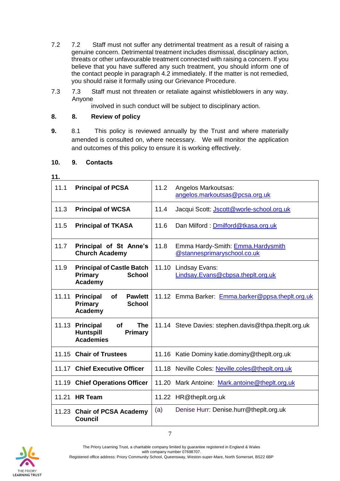- 7.2 7.2 Staff must not suffer any detrimental treatment as a result of raising a genuine concern. Detrimental treatment includes dismissal, disciplinary action, threats or other unfavourable treatment connected with raising a concern. If you believe that you have suffered any such treatment, you should inform one of the contact people in paragraph 4.2 immediately. If the matter is not remedied, you should raise it formally using our Grievance Procedure.
- 7.3 7.3 Staff must not threaten or retaliate against whistleblowers in any way. Anyone

involved in such conduct will be subject to disciplinary action.

## <span id="page-6-0"></span>**8. 8. Review of policy**

**9.** 8.1 This policy is reviewed annually by the Trust and where materially amended is consulted on, where necessary. We will monitor the application and outcomes of this policy to ensure it is working effectively.

| 10. |  |  | 9. | <b>Contacts</b> |
|-----|--|--|----|-----------------|
|-----|--|--|----|-----------------|

| 11.   |                                                                                                       |       |                                                                  |
|-------|-------------------------------------------------------------------------------------------------------|-------|------------------------------------------------------------------|
| 11.1  | <b>Principal of PCSA</b>                                                                              | 11.2  | Angelos Markoutsas:<br>angelos.markoutsas@pcsa.org.uk            |
| 11.3  | <b>Principal of WCSA</b>                                                                              | 11.4  | Jacqui Scott: Jscott@worle-school.org.uk                         |
| 11.5  | <b>Principal of TKASA</b>                                                                             | 11.6  | Dan Milford: Dmilford@tkasa.org.uk                               |
| 11.7  | Principal of St Anne's<br><b>Church Academy</b>                                                       | 11.8  | Emma Hardy-Smith: Emma.Hardysmith<br>@stannesprimaryschool.co.uk |
| 11.9  | <b>Principal of Castle Batch</b><br><b>Primary</b><br><b>School</b><br>Academy                        | 11.10 | Lindsay Evans:<br>Lindsay.Evans@cbpsa.theplt.org.uk              |
| 11.11 | of<br><b>Principal</b><br><b>Pawlett</b><br>Primary<br><b>School</b><br>Academy                       |       | 11.12 Emma Barker: Emma.barker@ppsa.theplt.org.uk                |
| 11.13 | <b>Principal</b><br><b>of</b><br><b>The</b><br><b>Huntspill</b><br><b>Primary</b><br><b>Academies</b> |       | 11.14 Steve Davies: stephen.davis@thpa.theplt.org.uk             |
|       | 11.15 Chair of Trustees                                                                               |       | 11.16 Katie Dominy katie.dominy@theplt.org.uk                    |
| 11.17 | <b>Chief Executive Officer</b>                                                                        |       | 11.18 Neville Coles: Neville.coles@theplt.org.uk                 |
| 11.19 | <b>Chief Operations Officer</b>                                                                       | 11.20 | Mark Antoine: Mark.antoine@theplt.org.uk                         |
| 11.21 | <b>HR Team</b>                                                                                        |       | 11.22 HR@theplt.org.uk                                           |
| 11.23 | <b>Chair of PCSA Academy</b><br><b>Council</b>                                                        | (a)   | Denise Hurr: Denise.hurr@theplt.org.uk                           |

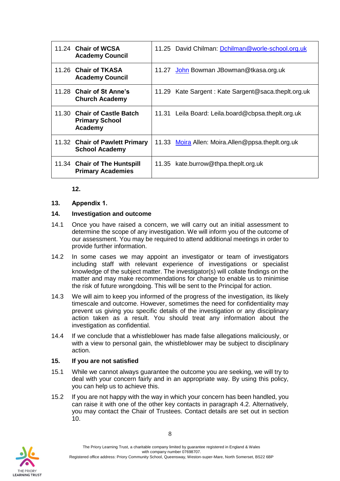| 11.24 Chair of WCSA<br><b>Academy Council</b>                   |       | 11.25 David Chilman: Dchilman@worle-school.org.uk   |
|-----------------------------------------------------------------|-------|-----------------------------------------------------|
| 11.26 Chair of TKASA<br><b>Academy Council</b>                  | 11.27 | John Bowman JBowman@tkasa.org.uk                    |
| 11.28 Chair of St Anne's<br><b>Church Academy</b>               |       | 11.29 Kate Sargent: Kate Sargent@saca.theplt.org.uk |
| 11.30 Chair of Castle Batch<br><b>Primary School</b><br>Academy |       | 11.31 Leila Board: Leila.board@cbpsa.theplt.org.uk  |
| 11.32 Chair of Pawlett Primary<br><b>School Academy</b>         |       | 11.33 Moira Allen: Moira. Allen@ppsa.theplt.org.uk  |
| 11.34 Chair of The Huntspill<br><b>Primary Academies</b>        |       | 11.35 kate.burrow@thpa.theplt.org.uk                |

#### **12.**

#### **13. Appendix 1.**

#### **14. Investigation and outcome**

- 14.1 Once you have raised a concern, we will carry out an initial assessment to determine the scope of any investigation. We will inform you of the outcome of our assessment. You may be required to attend additional meetings in order to provide further information.
- 14.2 In some cases we may appoint an investigator or team of investigators including staff with relevant experience of investigations or specialist knowledge of the subject matter. The investigator(s) will collate findings on the matter and may make recommendations for change to enable us to minimise the risk of future wrongdoing. This will be sent to the Principal for action.
- 14.3 We will aim to keep you informed of the progress of the investigation, its likely timescale and outcome. However, sometimes the need for confidentiality may prevent us giving you specific details of the investigation or any disciplinary action taken as a result. You should treat any information about the investigation as confidential.
- 14.4 If we conclude that a whistleblower has made false allegations maliciously, or with a view to personal gain, the whistleblower may be subject to disciplinary action.

## **15. If you are not satisfied**

- 15.1 While we cannot always guarantee the outcome you are seeking, we will try to deal with your concern fairly and in an appropriate way. By using this policy, you can help us to achieve this.
- 15.2 If you are not happy with the way in which your concern has been handled, you can raise it with one of the other key contacts in paragraph 4.2. Alternatively, you may contact the Chair of Trustees. Contact details are set out in section 10.